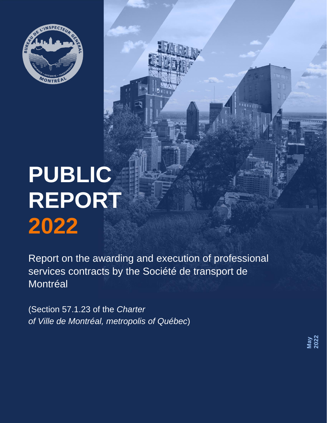

# **PUBLIC REPORT 2022**

Report on the awarding and execution of professional services contracts by the Société de transport de Montréal

(Section 57.1.23 of the *Charter of Ville de Montréal, metropolis of Québec*)

**May 2022**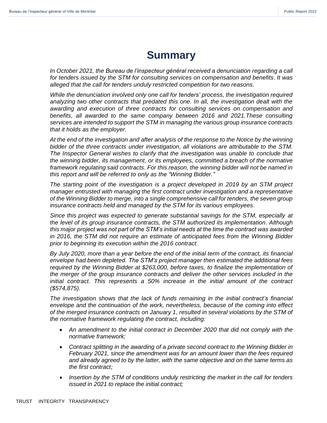# **Summary**

<span id="page-1-0"></span>*In October 2021, the Bureau de l'inspecteur général received a denunciation regarding a call for tenders issued by the STM for consulting services on compensation and benefits*. *It was alleged that the call for tenders unduly restricted competition for two reasons.*

*While the denunciation involved only one call for tenders' process, the investigation required analyzing two other contracts that predated this one. In all, the investigation dealt with the awarding and execution of three contracts for consulting services on compensation and benefits, all awarded to the same company between 2016 and 2021.These consulting services are intended to support the STM in managing the various group insurance contracts that it holds as the employer.*

*At the end of the investigation and after analysis of the response to the Notice by the winning bidder of the three contracts under investigation, all violations are attributable to the STM. The Inspector General wishes to clarify that the investigation was unable to conclude that the winning bidder, its management, or its employees, committed a breach of the normative framework regulating said contracts. For this reason, the winning bidder will not be named in this report and will be referred to only as the "Winning Bidder."*

*The starting point of the investigation is a project developed in 2019 by an STM project manager entrusted with managing the first contract under investigation and a representative of the Winning Bidder to merge, into a single comprehensive call for tenders, the seven group insurance contracts held and managed by the STM for its various employees.*

*Since this project was expected to generate substantial savings for the STM, especially at the level of its group insurance contracts, the STM authorized its implementation. Although this major project was not part of the STM's initial needs at the time the contract was awarded in 2016, the STM did not require an estimate of anticipated fees from the Winning Bidder prior to beginning its execution within the 2016 contract.*

*By July 2020, more than a year before the end of the initial term of the contract, its financial envelope had been depleted. The STM's project manager then estimated the additional fees required by the Winning Bidder at \$263,000, before taxes, to finalize the implementation of the merger of the group insurance contracts and deliver the other services included in the initial contract. This represents a 50% increase in the initial amount of the contract (\$574,875).*

*The investigation shows that the lack of funds remaining in the initial contract's financial envelope and the continuation of the work, nevertheless, because of the coming into effect of the merged insurance contracts on January 1, resulted in several violations by the STM of the normative framework regulating the contract, including:*

- *An amendment to the initial contract in December 2020 that did not comply with the normative framework;*
- *Contract splitting in the awarding of a private second contract to the Winning Bidder in February 2021, since the amendment was for an amount lower than the fees required and already agreed to by the latter, with the same objective and on the same terms as the first contract;*
- *Insertion by the STM of conditions unduly restricting the market in the call for tenders issued in 2021 to replace the initial contract;*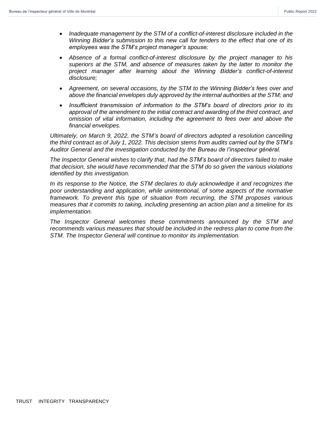- *Inadequate management by the STM of a conflict-of-interest disclosure included in the Winning Bidder's submission to this new call for tenders to the effect that one of its employees was the STM's project manager's spouse;*
- *Absence of a formal conflict-of-interest disclosure by the project manager to his superiors at the STM, and absence of measures taken by the latter to monitor the project manager after learning about the Winning Bidder's conflict-of-interest disclosure;*
- *Agreement, on several occasions, by the STM to the Winning Bidder's fees over and above the financial envelopes duly approved by the internal authorities at the STM; and*
- *Insufficient transmission of information to the STM's board of directors prior to its approval of the amendment to the initial contract and awarding of the third contract, and omission of vital information, including the agreement to fees over and above the financial envelopes.*

*Ultimately, on March 9, 2022, the STM's board of directors adopted a resolution cancelling the third contract as of July 1, 2022. This decision stems from audits carried out by the STM's Auditor General and the investigation conducted by the Bureau de l'inspecteur général.*

*The Inspector General wishes to clarify that, had the STM's board of directors failed to make that decision, she would have recommended that the STM do so given the various violations identified by this investigation.*

*In its response to the Notice, the STM declares to duly acknowledge it and recognizes the poor understanding and application, while unintentional, of some aspects of the normative framework. To prevent this type of situation from recurring, the STM proposes various measures that it commits to taking, including presenting an action plan and a timeline for its implementation.*

*The Inspector General welcomes these commitments announced by the STM and recommends various measures that should be included in the redress plan to come from the STM. The Inspector General will continue to monitor its implementation.*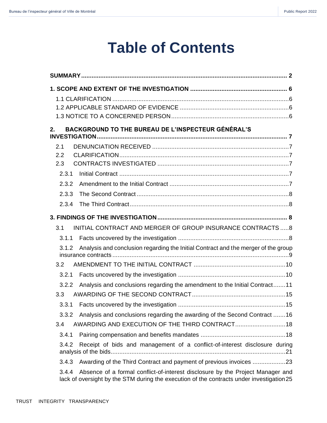# **Table of Contents**

| BACKGROUND TO THE BUREAU DE L'INSPECTEUR GÉNÉRAL'S<br>$2_{-}$                                                                                                                        |
|--------------------------------------------------------------------------------------------------------------------------------------------------------------------------------------|
|                                                                                                                                                                                      |
| 2.1                                                                                                                                                                                  |
| 2.2                                                                                                                                                                                  |
| 2.3                                                                                                                                                                                  |
| 2.3.1                                                                                                                                                                                |
| 2.3.2                                                                                                                                                                                |
| 2.3.3                                                                                                                                                                                |
| 2.3.4                                                                                                                                                                                |
|                                                                                                                                                                                      |
| INITIAL CONTRACT AND MERGER OF GROUP INSURANCE CONTRACTS  8<br>3.1                                                                                                                   |
| 3.1.1                                                                                                                                                                                |
| Analysis and conclusion regarding the Initial Contract and the merger of the group<br>3.1.2                                                                                          |
| 3.2                                                                                                                                                                                  |
| 3.2.1                                                                                                                                                                                |
| Analysis and conclusions regarding the amendment to the Initial Contract11<br>3.2.2                                                                                                  |
| 3.3                                                                                                                                                                                  |
| 3.3.1                                                                                                                                                                                |
| 3.3.2 Analysis and conclusions regarding the awarding of the Second Contract 16                                                                                                      |
| 3.4                                                                                                                                                                                  |
| 3.4.1                                                                                                                                                                                |
| Receipt of bids and management of a conflict-of-interest disclosure during<br>3.4.2                                                                                                  |
| 3.4.3                                                                                                                                                                                |
| Absence of a formal conflict-of-interest disclosure by the Project Manager and<br>3.4.4<br>lack of oversight by the STM during the execution of the contracts under investigation 25 |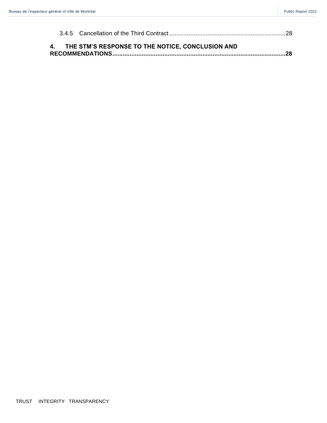|  | 4. THE STM'S RESPONSE TO THE NOTICE, CONCLUSION AND |  |
|--|-----------------------------------------------------|--|
|  |                                                     |  |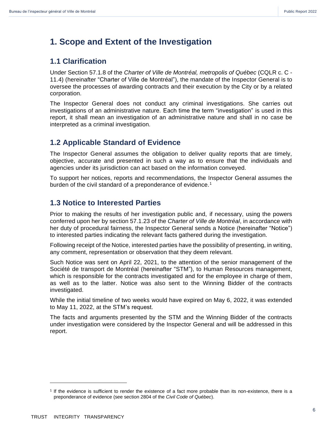# <span id="page-5-0"></span>**1. Scope and Extent of the Investigation**

# <span id="page-5-1"></span>**1.1 Clarification**

Under Section 57.1.8 of the *Charter of Ville de Montréal, metropolis of Québec* (CQLR c. C - 11.4) (hereinafter "Charter of Ville de Montréal"), the mandate of the Inspector General is to oversee the processes of awarding contracts and their execution by the City or by a related corporation.

The Inspector General does not conduct any criminal investigations. She carries out investigations of an administrative nature. Each time the term "investigation" is used in this report, it shall mean an investigation of an administrative nature and shall in no case be interpreted as a criminal investigation.

# <span id="page-5-2"></span>**1.2 Applicable Standard of Evidence**

The Inspector General assumes the obligation to deliver quality reports that are timely, objective, accurate and presented in such a way as to ensure that the individuals and agencies under its jurisdiction can act based on the information conveyed.

To support her notices, reports and recommendations, the Inspector General assumes the burden of the civil standard of a preponderance of evidence.<sup>1</sup>

# <span id="page-5-3"></span>**1.3 Notice to Interested Parties**

Prior to making the results of her investigation public and, if necessary, using the powers conferred upon her by section 57.1.23 of the *Charter of Ville de Montréal*, in accordance with her duty of procedural fairness, the Inspector General sends a Notice (hereinafter "Notice") to interested parties indicating the relevant facts gathered during the investigation.

Following receipt of the Notice, interested parties have the possibility of presenting, in writing, any comment, representation or observation that they deem relevant.

Such Notice was sent on April 22, 2021, to the attention of the senior management of the Société de transport de Montréal (hereinafter "STM"), to Human Resources management, which is responsible for the contracts investigated and for the employee in charge of them, as well as to the latter. Notice was also sent to the Winning Bidder of the contracts investigated.

While the initial timeline of two weeks would have expired on May 6, 2022, it was extended to May 11, 2022, at the STM's request.

The facts and arguments presented by the STM and the Winning Bidder of the contracts under investigation were considered by the Inspector General and will be addressed in this report.

<sup>1</sup> If the evidence is sufficient to render the existence of a fact more probable than its non-existence, there is a preponderance of evidence (see section 2804 of the *Civil Code of Québec*).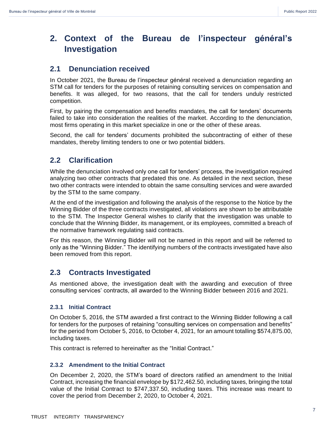# <span id="page-6-0"></span>**2. Context of the Bureau de l'inspecteur général's Investigation**

# <span id="page-6-1"></span>**2.1 Denunciation received**

In October 2021, the Bureau de l'inspecteur général received a denunciation regarding an STM call for tenders for the purposes of retaining consulting services on compensation and benefits. It was alleged, for two reasons, that the call for tenders unduly restricted competition.

First, by pairing the compensation and benefits mandates, the call for tenders' documents failed to take into consideration the realities of the market. According to the denunciation, most firms operating in this market specialize in one or the other of these areas.

Second, the call for tenders' documents prohibited the subcontracting of either of these mandates, thereby limiting tenders to one or two potential bidders.

# <span id="page-6-2"></span>**2.2 Clarification**

While the denunciation involved only one call for tenders' process, the investigation required analyzing two other contracts that predated this one. As detailed in the next section, these two other contracts were intended to obtain the same consulting services and were awarded by the STM to the same company.

At the end of the investigation and following the analysis of the response to the Notice by the Winning Bidder of the three contracts investigated, all violations are shown to be attributable to the STM. The Inspector General wishes to clarify that the investigation was unable to conclude that the Winning Bidder, its management, or its employees, committed a breach of the normative framework regulating said contracts.

For this reason, the Winning Bidder will not be named in this report and will be referred to only as the "Winning Bidder." The identifying numbers of the contracts investigated have also been removed from this report.

# <span id="page-6-3"></span>**2.3 Contracts Investigated**

As mentioned above, the investigation dealt with the awarding and execution of three consulting services' contracts, all awarded to the Winning Bidder between 2016 and 2021.

#### <span id="page-6-4"></span>**2.3.1 Initial Contract**

On October 5, 2016, the STM awarded a first contract to the Winning Bidder following a call for tenders for the purposes of retaining "consulting services on compensation and benefits" for the period from October 5, 2016, to October 4, 2021, for an amount totalling \$574,875.00, including taxes.

This contract is referred to hereinafter as the "Initial Contract."

#### <span id="page-6-5"></span>**2.3.2 Amendment to the Initial Contract**

On December 2, 2020, the STM's board of directors ratified an amendment to the Initial Contract, increasing the financial envelope by \$172,462.50, including taxes, bringing the total value of the Initial Contract to \$747,337.50, including taxes. This increase was meant to cover the period from December 2, 2020, to October 4, 2021.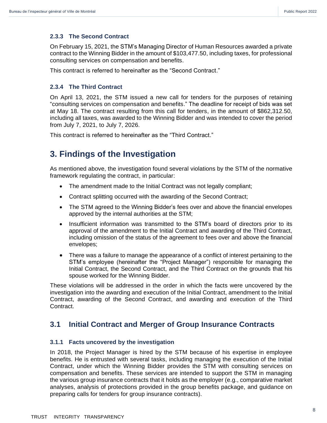#### <span id="page-7-0"></span>**2.3.3 The Second Contract**

On February 15, 2021, the STM's Managing Director of Human Resources awarded a private contract to the Winning Bidder in the amount of \$103,477.50, including taxes, for professional consulting services on compensation and benefits.

This contract is referred to hereinafter as the "Second Contract."

#### <span id="page-7-1"></span>**2.3.4 The Third Contract**

On April 13, 2021, the STM issued a new call for tenders for the purposes of retaining "consulting services on compensation and benefits." The deadline for receipt of bids was set at May 18. The contract resulting from this call for tenders, in the amount of \$862,312.50, including all taxes, was awarded to the Winning Bidder and was intended to cover the period from July 7, 2021, to July 7, 2026.

This contract is referred to hereinafter as the "Third Contract."

# <span id="page-7-2"></span>**3. Findings of the Investigation**

As mentioned above, the investigation found several violations by the STM of the normative framework regulating the contract, in particular:

- The amendment made to the Initial Contract was not legally compliant;
- Contract splitting occurred with the awarding of the Second Contract;
- The STM agreed to the Winning Bidder's fees over and above the financial envelopes approved by the internal authorities at the STM;
- Insufficient information was transmitted to the STM's board of directors prior to its approval of the amendment to the Initial Contract and awarding of the Third Contract, including omission of the status of the agreement to fees over and above the financial envelopes;
- There was a failure to manage the appearance of a conflict of interest pertaining to the STM's employee (hereinafter the "Project Manager") responsible for managing the Initial Contract, the Second Contract, and the Third Contract on the grounds that his spouse worked for the Winning Bidder.

These violations will be addressed in the order in which the facts were uncovered by the investigation into the awarding and execution of the Initial Contract, amendment to the Initial Contract, awarding of the Second Contract, and awarding and execution of the Third Contract.

# <span id="page-7-3"></span>**3.1 Initial Contract and Merger of Group Insurance Contracts**

#### <span id="page-7-4"></span>**3.1.1 Facts uncovered by the investigation**

In 2018, the Project Manager is hired by the STM because of his expertise in employee benefits. He is entrusted with several tasks, including managing the execution of the Initial Contract, under which the Winning Bidder provides the STM with consulting services on compensation and benefits. These services are intended to support the STM in managing the various group insurance contracts that it holds as the employer (e.g., comparative market analyses, analysis of protections provided in the group benefits package, and guidance on preparing calls for tenders for group insurance contracts).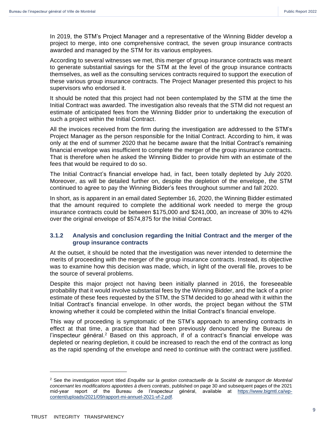In 2019, the STM's Project Manager and a representative of the Winning Bidder develop a project to merge, into one comprehensive contract, the seven group insurance contracts awarded and managed by the STM for its various employees.

According to several witnesses we met, this merger of group insurance contracts was meant to generate substantial savings for the STM at the level of the group insurance contracts themselves, as well as the consulting services contracts required to support the execution of these various group insurance contracts. The Project Manager presented this project to his supervisors who endorsed it.

It should be noted that this project had not been contemplated by the STM at the time the Initial Contract was awarded. The investigation also reveals that the STM did not request an estimate of anticipated fees from the Winning Bidder prior to undertaking the execution of such a project within the Initial Contract.

All the invoices received from the firm during the investigation are addressed to the STM's Project Manager as the person responsible for the Initial Contract. According to him, it was only at the end of summer 2020 that he became aware that the Initial Contract's remaining financial envelope was insufficient to complete the merger of the group insurance contracts. That is therefore when he asked the Winning Bidder to provide him with an estimate of the fees that would be required to do so.

The Initial Contract's financial envelope had, in fact, been totally depleted by July 2020. Moreover, as will be detailed further on, despite the depletion of the envelope, the STM continued to agree to pay the Winning Bidder's fees throughout summer and fall 2020.

In short, as is apparent in an email dated September 16, 2020, the Winning Bidder estimated that the amount required to complete the additional work needed to merge the group insurance contracts could be between \$175,000 and \$241,000, an increase of 30% to 42% over the original envelope of \$574,875 for the Initial Contract.

#### <span id="page-8-0"></span>**3.1.2 Analysis and conclusion regarding the Initial Contract and the merger of the group insurance contracts**

At the outset, it should be noted that the investigation was never intended to determine the merits of proceeding with the merger of the group insurance contracts. Instead, its objective was to examine how this decision was made, which, in light of the overall file, proves to be the source of several problems.

Despite this major project not having been initially planned in 2016, the foreseeable probability that it would involve substantial fees by the Winning Bidder, and the lack of a prior estimate of these fees requested by the STM, the STM decided to go ahead with it within the Initial Contract's financial envelope. In other words, the project began without the STM knowing whether it could be completed within the Initial Contract's financial envelope.

This way of proceeding is symptomatic of the STM's approach to amending contracts in effect at that time, a practice that had been previously denounced by the Bureau de l'inspecteur général.<sup>2</sup> Based on this approach, if of a contract's financial envelope was depleted or nearing depletion, it could be increased to reach the end of the contract as long as the rapid spending of the envelope and need to continue with the contract were justified.

<sup>2</sup> See the investigation report titled *Enquête sur la gestion contractuelle de la Société de transport de Montréal concernant les modifications apportées à divers contrats*, published on page 30 and subsequent pages of the 2021 mid-year report of the Bureau de l'inspecteur général, available at [https://www.bigmtl.ca/wp](https://www.bigmtl.ca/wp-content/uploads/2021/09/rapport-mi-annuel-2021-vf-2.pdf)[content/uploads/2021/09/rapport-mi-annuel-2021-vf-2.pdf.](https://www.bigmtl.ca/wp-content/uploads/2021/09/rapport-mi-annuel-2021-vf-2.pdf)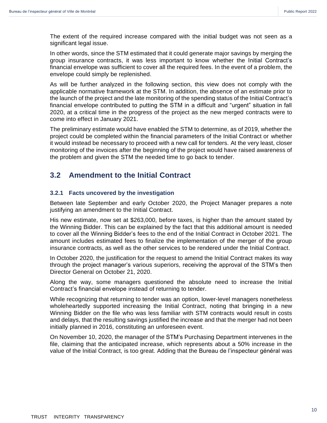The extent of the required increase compared with the initial budget was not seen as a significant legal issue.

In other words, since the STM estimated that it could generate major savings by merging the group insurance contracts, it was less important to know whether the Initial Contract's financial envelope was sufficient to cover all the required fees. In the event of a problem, the envelope could simply be replenished.

As will be further analyzed in the following section, this view does not comply with the applicable normative framework at the STM. In addition, the absence of an estimate prior to the launch of the project and the late monitoring of the spending status of the Initial Contract's financial envelope contributed to putting the STM in a difficult and "urgent" situation in fall 2020, at a critical time in the progress of the project as the new merged contracts were to come into effect in January 2021.

The preliminary estimate would have enabled the STM to determine, as of 2019, whether the project could be completed within the financial parameters of the Initial Contract or whether it would instead be necessary to proceed with a new call for tenders. At the very least, closer monitoring of the invoices after the beginning of the project would have raised awareness of the problem and given the STM the needed time to go back to tender.

# <span id="page-9-0"></span>**3.2 Amendment to the Initial Contract**

#### <span id="page-9-1"></span>**3.2.1 Facts uncovered by the investigation**

Between late September and early October 2020, the Project Manager prepares a note justifying an amendment to the Initial Contract.

His new estimate, now set at \$263,000, before taxes, is higher than the amount stated by the Winning Bidder. This can be explained by the fact that this additional amount is needed to cover all the Winning Bidder's fees to the end of the Initial Contract in October 2021. The amount includes estimated fees to finalize the implementation of the merger of the group insurance contracts, as well as the other services to be rendered under the Initial Contract.

In October 2020, the justification for the request to amend the Initial Contract makes its way through the project manager's various superiors, receiving the approval of the STM's then Director General on October 21, 2020.

Along the way, some managers questioned the absolute need to increase the Initial Contract's financial envelope instead of returning to tender.

While recognizing that returning to tender was an option, lower-level managers nonetheless wholeheartedly supported increasing the Initial Contract, noting that bringing in a new Winning Bidder on the file who was less familiar with STM contracts would result in costs and delays, that the resulting savings justified the increase and that the merger had not been initially planned in 2016, constituting an unforeseen event.

On November 10, 2020, the manager of the STM's Purchasing Department intervenes in the file, claiming that the anticipated increase, which represents about a 50% increase in the value of the Initial Contract, is too great. Adding that the Bureau de l'inspecteur général was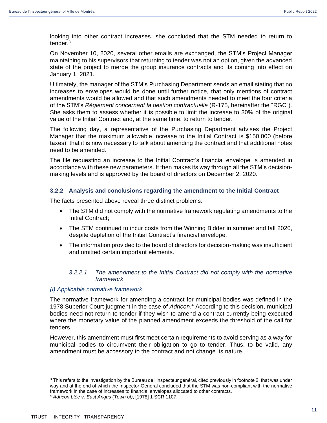looking into other contract increases, she concluded that the STM needed to return to tender. 3

On November 10, 2020, several other emails are exchanged, the STM's Project Manager maintaining to his supervisors that returning to tender was not an option, given the advanced state of the project to merge the group insurance contracts and its coming into effect on January 1, 2021.

Ultimately, the manager of the STM's Purchasing Department sends an email stating that no increases to envelopes would be done until further notice, that only mentions of contract amendments would be allowed and that such amendments needed to meet the four criteria of the STM's *Règlement concernant la gestion contractuelle* (R-175, hereinafter the "RGC"). She asks them to assess whether it is possible to limit the increase to 30% of the original value of the Initial Contract and, at the same time, to return to tender.

The following day, a representative of the Purchasing Department advises the Project Manager that the maximum allowable increase to the Initial Contract is \$150,000 (before taxes), that it is now necessary to talk about amending the contract and that additional notes need to be amended.

The file requesting an increase to the Initial Contract's financial envelope is amended in accordance with these new parameters. It then makes its way through all the STM's decisionmaking levels and is approved by the board of directors on December 2, 2020.

#### <span id="page-10-0"></span>**3.2.2 Analysis and conclusions regarding the amendment to the Initial Contract**

The facts presented above reveal three distinct problems:

- The STM did not comply with the normative framework regulating amendments to the Initial Contract;
- The STM continued to incur costs from the Winning Bidder in summer and fall 2020, despite depletion of the Initial Contract's financial envelope;
- The information provided to the board of directors for decision-making was insufficient and omitted certain important elements.

#### *3.2.2.1 The amendment to the Initial Contract did not comply with the normative framework*

#### *(i) Applicable normative framework*

The normative framework for amending a contract for municipal bodies was defined in the 1978 Superior Court judgment in the case of *Adricon*. <sup>4</sup> According to this decision, municipal bodies need not return to tender if they wish to amend a contract currently being executed where the monetary value of the planned amendment exceeds the threshold of the call for tenders.

However, this amendment must first meet certain requirements to avoid serving as a way for municipal bodies to circumvent their obligation to go to tender. Thus, to be valid, any amendment must be accessory to the contract and not change its nature.

 $3$  This refers to the investigation by the Bureau de l'inspecteur général, cited previously in footnote 2, that was under way and at the end of which the Inspector General concluded that the STM was non-compliant with the normative framework in the case of increases to financial envelopes allocated to other contracts.

<sup>4</sup> *Adricon Ltée* v*. East Angus (Town of)*, [1978] 1 SCR 1107.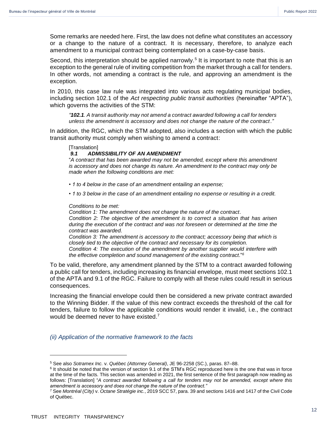Some remarks are needed here. First, the law does not define what constitutes an accessory or a change to the nature of a contract. It is necessary, therefore, to analyze each amendment to a municipal contract being contemplated on a case-by-case basis.

Second, this interpretation should be applied narrowly.<sup>5</sup> It is important to note that this is an exception to the general rule of inviting competition from the market through a call for tenders. In other words, not amending a contract is the rule, and approving an amendment is the exception.

In 2010, this case law rule was integrated into various acts regulating municipal bodies, including section 102.1 of the *Act respecting public transit authorities* (hereinafter "APTA"), which governs the activities of the STM:

*"102.1. A transit authority may not amend a contract awarded following a call for tenders unless the amendment is accessory and does not change the nature of the contract*.*"*

In addition, the RGC, which the STM adopted, also includes a section with which the public transit authority must comply when wishing to amend a contract:

#### [Translation]

#### *9.1 ADMISSIBILITY OF AN AMENDMENT*

"*A contract that has been awarded may not be amended, except where this amendment is accessory and does not change its nature. An amendment to the contract may only be made when the following conditions are met:* 

- *1 to 4 below in the case of an amendment entailing an expense;*
- *1 to 3 below in the case of an amendment entailing no expense or resulting in a credit.*

#### *Conditions to be met:*

*Condition 1: The amendment does not change the nature of the contract*. *Condition 2: The objective of the amendment is to correct a situation that has arisen during the execution of the contract and was not foreseen or determined at the time the contract was awarded.*

*Condition 3: The amendment is accessory to the contract; accessory being that which is closely tied to the objective of the contract and necessary for its completion. Condition 4: The execution of the amendment by another supplier would interfere with the effective completion and sound management of the existing contract*."*<sup>6</sup>*

To be valid, therefore, any amendment planned by the STM to a contract awarded following a public call for tenders, including increasing its financial envelope, must meet sections 102.1 of the APTA and 9.1 of the RGC. Failure to comply with all these rules could result in serious consequences.

Increasing the financial envelope could then be considered a new private contract awarded to the Winning Bidder. If the value of this new contract exceeds the threshold of the call for tenders, failure to follow the applicable conditions would render it invalid, i.e., the contract would be deemed never to have existed.<sup>7</sup>

*(ii) Application of the normative framework to the facts*

<sup>5</sup> See also *Sotramex Inc.* v. *Québec (Attorney General)*, JE 96-2258 (SC.), paras. 87–88.

<sup>&</sup>lt;sup>6</sup> It should be noted that the version of section 9.1 of the STM's RGC reproduced here is the one that was in force at the time of the facts. This section was amended in 2021, the first sentence of the first paragraph now reading as follows: [Translation] "*A contract awarded following a call for tenders may not be amended, except where this amendment is accessory and does not change the nature of the contract."*

<sup>7</sup> See *Montréal (City)* v. *Octane Stratégie inc.*, 2019 SCC 57, para. 39 and sections 1416 and 1417 of the Civil Code of Québec.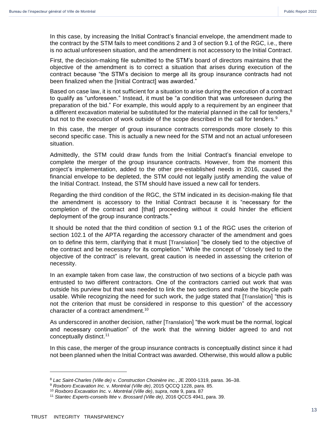In this case, by increasing the Initial Contract's financial envelope, the amendment made to the contract by the STM fails to meet conditions 2 and 3 of section 9.1 of the RGC, i.e., there is no actual unforeseen situation, and the amendment is not accessory to the Initial Contract.

First, the decision-making file submitted to the STM's board of directors maintains that the objective of the amendment is to correct a situation that arises during execution of the contract because "the STM's decision to merge all its group insurance contracts had not been finalized when the [Initial Contract] was awarded."

Based on case law, it is not sufficient for a situation to arise during the execution of a contract to qualify as "unforeseen." Instead, it must be "a condition that was unforeseen during the preparation of the bid." For example, this would apply to a requirement by an engineer that a different excavation material be substituted for the material planned in the call for tenders,<sup>8</sup> but not to the execution of work outside of the scope described in the call for tenders.<sup>9</sup>

In this case, the merger of group insurance contracts corresponds more closely to this second specific case. This is actually a new need for the STM and not an actual unforeseen situation.

Admittedly, the STM could draw funds from the Initial Contract's financial envelope to complete the merger of the group insurance contracts. However, from the moment this project's implementation, added to the other pre-established needs in 2016, caused the financial envelope to be depleted, the STM could not legally justify amending the value of the Initial Contract. Instead, the STM should have issued a new call for tenders.

Regarding the third condition of the RGC, the STM indicated in its decision-making file that the amendment is accessory to the Initial Contract because it is "necessary for the completion of the contract and [that] proceeding without it could hinder the efficient deployment of the group insurance contracts."

It should be noted that the third condition of section 9.1 of the RGC uses the criterion of section 102.1 of the APTA regarding the accessory character of the amendment and goes on to define this term, clarifying that it must [Translation] "be closely tied to the objective of the contract and be necessary for its completion." While the concept of "closely tied to the objective of the contract" is relevant, great caution is needed in assessing the criterion of necessity.

In an example taken from case law, the construction of two sections of a bicycle path was entrusted to two different contractors. One of the contractors carried out work that was outside his purview but that was needed to link the two sections and make the bicycle path usable. While recognizing the need for such work, the judge stated that [Translation] "this is not the criterion that must be considered in response to this question" of the accessory character of a contract amendment.<sup>10</sup>

As underscored in another decision, rather [Translation] "the work must be the normal, logical and necessary continuation" of the work that the winning bidder agreed to and not conceptually distinct. 11

In this case, the merger of the group insurance contracts is conceptually distinct since it had not been planned when the Initial Contract was awarded. Otherwise, this would allow a public

<sup>8</sup> *Lac Saint-Charles (Ville de)* v. *Construction Choinière inc.*, JE 2000-1319, paras. 36–38.

<sup>9</sup> *Roxboro Excavation Inc.* v. *Montréal (Ville de)*, 2015 QCCQ 1228, para. 85.

<sup>10</sup> *Roxboro Excavation Inc.* v. *Montréal (Ville de)*, *supra*, note 9, para. 87

<sup>11</sup> *Stantec Experts-conseils ltée* v. *Brossard (Ville de)*, 2016 QCCS 4941, para. 39.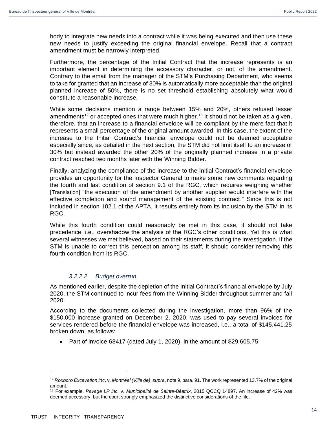body to integrate new needs into a contract while it was being executed and then use these new needs to justify exceeding the original financial envelope. Recall that a contract amendment must be narrowly interpreted.

Furthermore, the percentage of the Initial Contract that the increase represents is an important element in determining the accessory character, or not, of the amendment. Contrary to the email from the manager of the STM's Purchasing Department, who seems to take for granted that an increase of 30% is automatically more acceptable than the original planned increase of 50%, there is no set threshold establishing absolutely what would constitute a reasonable increase.

While some decisions mention a range between 15% and 20%, others refused lesser amendments<sup>12</sup> or accepted ones that were much higher.<sup>13</sup> It should not be taken as a given, therefore, that an increase to a financial envelope will be compliant by the mere fact that it represents a small percentage of the original amount awarded. In this case, the extent of the increase to the Initial Contract's financial envelope could not be deemed acceptable especially since, as detailed in the next section, the STM did not limit itself to an increase of 30% but instead awarded the other 20% of the originally planned increase in a private contract reached two months later with the Winning Bidder.

Finally, analyzing the compliance of the increase to the Initial Contract's financial envelope provides an opportunity for the Inspector General to make some new comments regarding the fourth and last condition of section 9.1 of the RGC, which requires weighing whether [Translation] "the execution of the amendment by another supplier would interfere with the effective completion and sound management of the existing contract." Since this is not included in section 102.1 of the APTA, it results entirely from its inclusion by the STM in its RGC.

While this fourth condition could reasonably be met in this case, it should not take precedence, i.e., overshadow the analysis of the RGC's other conditions. Yet this is what several witnesses we met believed, based on their statements during the investigation. If the STM is unable to correct this perception among its staff, it should consider removing this fourth condition from its RGC.

#### *3.2.2.2 Budget overrun*

As mentioned earlier, despite the depletion of the Initial Contract's financial envelope by July 2020, the STM continued to incur fees from the Winning Bidder throughout summer and fall 2020.

According to the documents collected during the investigation, more than 96% of the \$150,000 increase granted on December 2, 2020, was used to pay several invoices for services rendered before the financial envelope was increased, i.e., a total of \$145,441.25 broken down, as follows:

• Part of invoice 68417 (dated July 1, 2020), in the amount of \$29,605.75;

<sup>12</sup> *Roxboro Excavation Inc*. v. *Montréal (Ville de)*, *supra*, note 9, para. 91. The work represented 13.7% of the original amount.

<sup>13</sup> For example, *Pavage LP inc.* v. *Municipalité de Sainte-Béatrix*, 2015 QCCQ 14897. An increase of 42% was deemed accessory, but the court strongly emphasized the distinctive considerations of the file.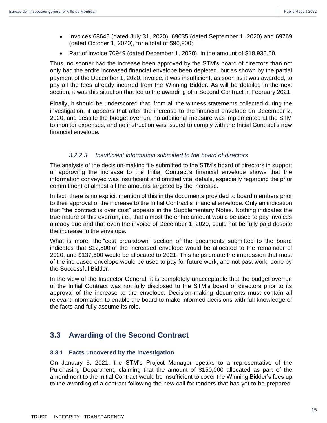- Invoices 68645 (dated July 31, 2020), 69035 (dated September 1, 2020) and 69769 (dated October 1, 2020), for a total of \$96,900;
- Part of invoice 70949 (dated December 1, 2020), in the amount of \$18,935.50.

Thus, no sooner had the increase been approved by the STM's board of directors than not only had the entire increased financial envelope been depleted, but as shown by the partial payment of the December 1, 2020, invoice, it was insufficient, as soon as it was awarded, to pay all the fees already incurred from the Winning Bidder. As will be detailed in the next section, it was this situation that led to the awarding of a Second Contract in February 2021.

Finally, it should be underscored that, from all the witness statements collected during the investigation, it appears that after the increase to the financial envelope on December 2, 2020, and despite the budget overrun, no additional measure was implemented at the STM to monitor expenses, and no instruction was issued to comply with the Initial Contract's new financial envelope.

#### *3.2.2.3 Insufficient information submitted to the board of directors*

The analysis of the decision-making file submitted to the STM's board of directors in support of approving the increase to the Initial Contract's financial envelope shows that the information conveyed was insufficient and omitted vital details, especially regarding the prior commitment of almost all the amounts targeted by the increase.

In fact, there is no explicit mention of this in the documents provided to board members prior to their approval of the increase to the Initial Contract's financial envelope. Only an indication that "the contract is over cost" appears in the Supplementary Notes. Nothing indicates the true nature of this overrun, i.e., that almost the entire amount would be used to pay invoices already due and that even the invoice of December 1, 2020, could not be fully paid despite the increase in the envelope.

What is more, the "cost breakdown" section of the documents submitted to the board indicates that \$12,500 of the increased envelope would be allocated to the remainder of 2020, and \$137,500 would be allocated to 2021. This helps create the impression that most of the increased envelope would be used to pay for future work, and not past work, done by the Successful Bidder.

In the view of the Inspector General, it is completely unacceptable that the budget overrun of the Initial Contract was not fully disclosed to the STM's board of directors prior to its approval of the increase to the envelope. Decision-making documents must contain all relevant information to enable the board to make informed decisions with full knowledge of the facts and fully assume its role.

# <span id="page-14-0"></span>**3.3 Awarding of the Second Contract**

#### <span id="page-14-1"></span>**3.3.1 Facts uncovered by the investigation**

On January 5, 2021, the STM's Project Manager speaks to a representative of the Purchasing Department, claiming that the amount of \$150,000 allocated as part of the amendment to the Initial Contract would be insufficient to cover the Winning Bidder's fees up to the awarding of a contract following the new call for tenders that has yet to be prepared.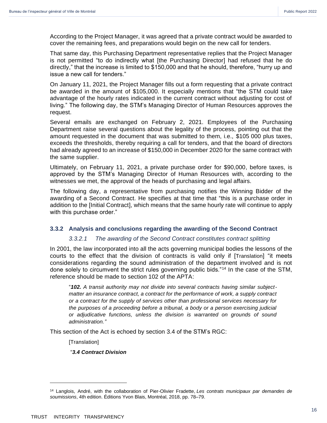According to the Project Manager, it was agreed that a private contract would be awarded to cover the remaining fees, and preparations would begin on the new call for tenders.

That same day, this Purchasing Department representative replies that the Project Manager is not permitted "to do indirectly what [the Purchasing Director] had refused that he do directly," that the increase is limited to \$150,000 and that he should, therefore, "hurry up and issue a new call for tenders."

On January 11, 2021, the Project Manager fills out a form requesting that a private contract be awarded in the amount of \$105,000. It especially mentions that "the STM could take advantage of the hourly rates indicated in the current contract without adjusting for cost of living." The following day, the STM's Managing Director of Human Resources approves the request.

Several emails are exchanged on February 2, 2021. Employees of the Purchasing Department raise several questions about the legality of the process, pointing out that the amount requested in the document that was submitted to them, i.e., \$105 000 plus taxes, exceeds the thresholds, thereby requiring a call for tenders, and that the board of directors had already agreed to an increase of \$150,000 in December 2020 for the same contract with the same supplier.

Ultimately, on February 11, 2021, a private purchase order for \$90,000, before taxes, is approved by the STM's Managing Director of Human Resources with, according to the witnesses we met, the approval of the heads of purchasing and legal affairs.

The following day, a representative from purchasing notifies the Winning Bidder of the awarding of a Second Contract. He specifies at that time that "this is a purchase order in addition to the [Initial Contract], which means that the same hourly rate will continue to apply with this purchase order."

#### <span id="page-15-0"></span>**3.3.2 Analysis and conclusions regarding the awarding of the Second Contract**

#### *3.3.2.1 The awarding of the Second Contract constitutes contract splitting*

In 2001, the law incorporated into all the acts governing municipal bodies the lessons of the courts to the effect that the division of contracts is valid only if [Translation] "it meets considerations regarding the sound administration of the department involved and is not done solely to circumvent the strict rules governing public bids.<sup>"14</sup> In the case of the STM, reference should be made to section 102 of the APTA:

"*102. A transit authority may not divide into several contracts having similar subjectmatter an insurance contract, a contract for the performance of work, a supply contract or a contract for the supply of services other than professional services necessary for the purposes of a proceeding before a tribunal, a body or a person exercising judicial or adjudicative functions, unless the division is warranted on grounds of sound administration."*

This section of the Act is echoed by section 3.4 of the STM's RGC:

[Translation]

"*3.4 Contract Division*

<sup>14</sup> Langlois, André, with the collaboration of Pier-Olivier Fradette, *Les contrats municipaux par demandes de soumissions*, 4th edition. Éditions Yvon Blais, Montréal, 2018, pp. 78–79.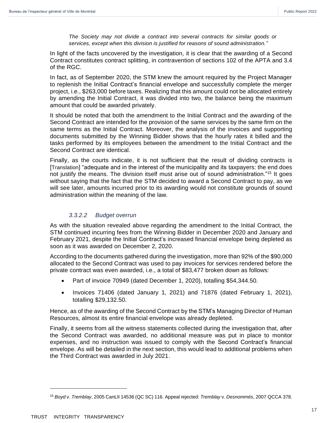*The Society may not divide a contract into several contracts for similar goods or services, except when this division is justified for reasons of sound administration.*"

In light of the facts uncovered by the investigation, it is clear that the awarding of a Second Contract constitutes contract splitting, in contravention of sections 102 of the APTA and 3.4 of the RGC.

In fact, as of September 2020, the STM knew the amount required by the Project Manager to replenish the Initial Contract's financial envelope and successfully complete the merger project, i.e., \$263,000 before taxes. Realizing that this amount could not be allocated entirely by amending the Initial Contract, it was divided into two, the balance being the maximum amount that could be awarded privately.

It should be noted that both the amendment to the Initial Contract and the awarding of the Second Contract are intended for the provision of the same services by the same firm on the same terms as the Initial Contract. Moreover, the analysis of the invoices and supporting documents submitted by the Winning Bidder shows that the hourly rates it billed and the tasks performed by its employees between the amendment to the Initial Contract and the Second Contract are identical.

Finally, as the courts indicate, it is not sufficient that the result of dividing contracts is [Translation] "adequate and in the interest of the municipality and its taxpayers: the end does not justify the means. The division itself must arise out of sound administration."<sup>15</sup> It goes without saying that the fact that the STM decided to award a Second Contract to pay, as we will see later, amounts incurred prior to its awarding would not constitute grounds of sound administration within the meaning of the law.

#### *3.3.2.2 Budget overrun*

As with the situation revealed above regarding the amendment to the Initial Contract, the STM continued incurring fees from the Winning Bidder in December 2020 and January and February 2021, despite the Initial Contract's increased financial envelope being depleted as soon as it was awarded on December 2, 2020.

According to the documents gathered during the investigation, more than 92% of the \$90,000 allocated to the Second Contract was used to pay invoices for services rendered before the private contract was even awarded, i.e., a total of \$83,477 broken down as follows:

- Part of invoice 70949 (dated December 1, 2020), totalling \$54,344.50.
- Invoices 71406 (dated January 1, 2021) and 71876 (dated February 1, 2021), totalling \$29,132.50.

Hence, as of the awarding of the Second Contract by the STM's Managing Director of Human Resources, almost its entire financial envelope was already depleted.

Finally, it seems from all the witness statements collected during the investigation that, after the Second Contract was awarded, no additional measure was put in place to monitor expenses, and no instruction was issued to comply with the Second Contract's financial envelope. As will be detailed in the next section, this would lead to additional problems when the Third Contract was awarded in July 2021.

<sup>15</sup> *Boyd* v. *Tremblay*, 2005 CanLII 14536 (QC SC) 116. Appeal rejected: *Tremblay* v. *Desnommés*, 2007 QCCA 378.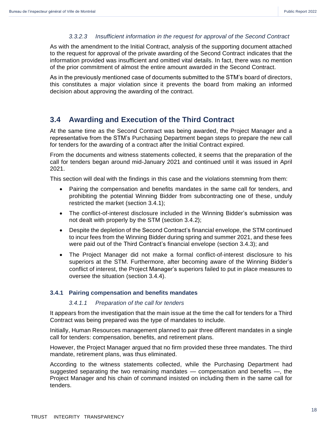#### *3.3.2.3 Insufficient information in the request for approval of the Second Contract*

As with the amendment to the Initial Contract, analysis of the supporting document attached to the request for approval of the private awarding of the Second Contract indicates that the information provided was insufficient and omitted vital details. In fact, there was no mention of the prior commitment of almost the entire amount awarded in the Second Contract.

As in the previously mentioned case of documents submitted to the STM's board of directors, this constitutes a major violation since it prevents the board from making an informed decision about approving the awarding of the contract.

# <span id="page-17-0"></span>**3.4 Awarding and Execution of the Third Contract**

At the same time as the Second Contract was being awarded, the Project Manager and a representative from the STM's Purchasing Department began steps to prepare the new call for tenders for the awarding of a contract after the Initial Contract expired.

From the documents and witness statements collected, it seems that the preparation of the call for tenders began around mid-January 2021 and continued until it was issued in April 2021.

This section will deal with the findings in this case and the violations stemming from them:

- Pairing the compensation and benefits mandates in the same call for tenders, and prohibiting the potential Winning Bidder from subcontracting one of these, unduly restricted the market (section 3.4.1);
- The conflict-of-interest disclosure included in the Winning Bidder's submission was not dealt with properly by the STM (section 3.4.2);
- Despite the depletion of the Second Contract's financial envelope, the STM continued to incur fees from the Winning Bidder during spring and summer 2021, and these fees were paid out of the Third Contract's financial envelope (section 3.4.3); and
- The Project Manager did not make a formal conflict-of-interest disclosure to his superiors at the STM. Furthermore, after becoming aware of the Winning Bidder's conflict of interest, the Project Manager's superiors failed to put in place measures to oversee the situation (section 3.4.4).

#### <span id="page-17-1"></span>**3.4.1 Pairing compensation and benefits mandates**

#### *3.4.1.1 Preparation of the call for tenders*

It appears from the investigation that the main issue at the time the call for tenders for a Third Contract was being prepared was the type of mandates to include.

Initially, Human Resources management planned to pair three different mandates in a single call for tenders: compensation, benefits, and retirement plans.

However, the Project Manager argued that no firm provided these three mandates. The third mandate, retirement plans, was thus eliminated.

According to the witness statements collected, while the Purchasing Department had suggested separating the two remaining mandates — compensation and benefits —, the Project Manager and his chain of command insisted on including them in the same call for tenders.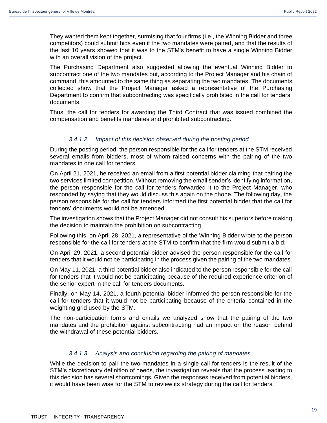They wanted them kept together, surmising that four firms (i.e., the Winning Bidder and three competitors) could submit bids even if the two mandates were paired, and that the results of the last 10 years showed that it was to the STM's benefit to have a single Winning Bidder with an overall vision of the project.

The Purchasing Department also suggested allowing the eventual Winning Bidder to subcontract one of the two mandates but, according to the Project Manager and his chain of command, this amounted to the same thing as separating the two mandates. The documents collected show that the Project Manager asked a representative of the Purchasing Department to confirm that subcontracting was specifically prohibited in the call for tenders' documents.

Thus, the call for tenders for awarding the Third Contract that was issued combined the compensation and benefits mandates and prohibited subcontracting.

#### *3.4.1.2 Impact of this decision observed during the posting period*

During the posting period, the person responsible for the call for tenders at the STM received several emails from bidders, most of whom raised concerns with the pairing of the two mandates in one call for tenders.

On April 21, 2021, he received an email from a first potential bidder claiming that pairing the two services limited competition. Without removing the email sender's identifying information, the person responsible for the call for tenders forwarded it to the Project Manager, who responded by saying that they would discuss this again on the phone. The following day, the person responsible for the call for tenders informed the first potential bidder that the call for tenders' documents would not be amended.

The investigation shows that the Project Manager did not consult his superiors before making the decision to maintain the prohibition on subcontracting.

Following this, on April 28, 2021, a representative of the Winning Bidder wrote to the person responsible for the call for tenders at the STM to confirm that the firm would submit a bid.

On April 29, 2021, a second potential bidder advised the person responsible for the call for tenders that it would not be participating in the process given the pairing of the two mandates.

On May 11, 2021, a third potential bidder also indicated to the person responsible for the call for tenders that it would not be participating because of the required experience criterion of the senior expert in the call for tenders documents.

Finally, on May 14, 2021, a fourth potential bidder informed the person responsible for the call for tenders that it would not be participating because of the criteria contained in the weighting grid used by the STM.

The non-participation forms and emails we analyzed show that the pairing of the two mandates and the prohibition against subcontracting had an impact on the reason behind the withdrawal of these potential bidders.

#### *3.4.1.3 Analysis and conclusion regarding the pairing of mandates*

While the decision to pair the two mandates in a single call for tenders is the result of the STM's discretionary definition of needs, the investigation reveals that the process leading to this decision has several shortcomings. Given the responses received from potential bidders, it would have been wise for the STM to review its strategy during the call for tenders.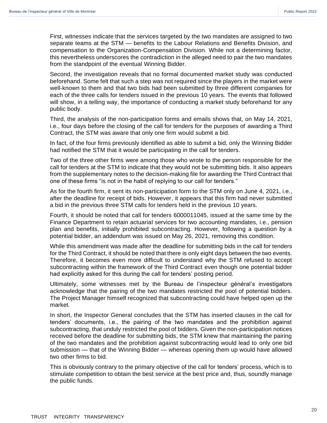First, witnesses indicate that the services targeted by the two mandates are assigned to two separate teams at the STM — benefits to the Labour Relations and Benefits Division, and compensation to the Organization-Compensation Division. While not a determining factor, this nevertheless underscores the contradiction in the alleged need to pair the two mandates from the standpoint of the eventual Winning Bidder.

Second, the investigation reveals that no formal documented market study was conducted beforehand. Some felt that such a step was not required since the players in the market were well-known to them and that two bids had been submitted by three different companies for each of the three calls for tenders issued in the previous 10 years. The events that followed will show, in a telling way, the importance of conducting a market study beforehand for any public body.

Third, the analysis of the non-participation forms and emails shows that, on May 14, 2021, i.e., four days before the closing of the call for tenders for the purposes of awarding a Third Contract, the STM was aware that only one firm would submit a bid.

In fact, of the four firms previously identified as able to submit a bid, only the Winning Bidder had notified the STM that it would be participating in the call for tenders.

Two of the three other firms were among those who wrote to the person responsible for the call for tenders at the STM to indicate that they would not be submitting bids. It also appears from the supplementary notes to the decision-making file for awarding the Third Contract that one of these firms "is not in the habit of replying to our call for tenders."

As for the fourth firm, it sent its non-participation form to the STM only on June 4, 2021, i.e., after the deadline for receipt of bids. However, it appears that this firm had never submitted a bid in the previous three STM calls for tenders held in the previous 10 years.

Fourth, it should be noted that call for tenders 6000011045, issued at the same time by the Finance Department to retain actuarial services for two accounting mandates, i.e., pension plan and benefits, initially prohibited subcontracting. However, following a question by a potential bidder, an addendum was issued on May 26, 2021, removing this condition.

While this amendment was made after the deadline for submitting bids in the call for tenders for the Third Contract, it should be noted that there is only eight days between the two events. Therefore, it becomes even more difficult to understand why the STM refused to accept subcontracting within the framework of the Third Contract even though one potential bidder had explicitly asked for this during the call for tenders' posting period.

Ultimately, some witnesses met by the Bureau de l'inspecteur général's investigators acknowledge that the pairing of the two mandates restricted the pool of potential bidders. The Project Manager himself recognized that subcontracting could have helped open up the market.

In short, the Inspector General concludes that the STM has inserted clauses in the call for tenders' documents, i.e., the pairing of the two mandates and the prohibition against subcontracting, that unduly restricted the pool of bidders. Given the non-participation notices received before the deadline for submitting bids, the STM knew that maintaining the pairing of the two mandates and the prohibition against subcontracting would lead to only one bid submission — that of the Winning Bidder — whereas opening them up would have allowed two other firms to bid.

This is obviously contrary to the primary objective of the call for tenders' process, which is to stimulate competition to obtain the best service at the best price and, thus, soundly manage the public funds.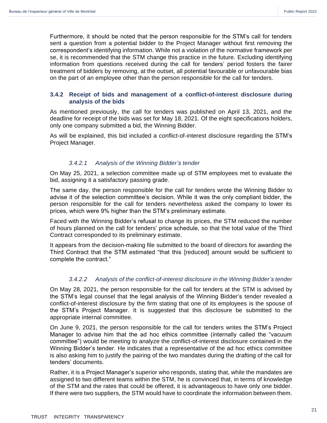Furthermore, it should be noted that the person responsible for the STM's call for tenders sent a question from a potential bidder to the Project Manager without first removing the correspondent's identifying information. While not a violation of the normative framework per se, it is recommended that the STM change this practice in the future. Excluding identifying information from questions received during the call for tenders' period fosters the fairer treatment of bidders by removing, at the outset, all potential favourable or unfavourable bias on the part of an employee other than the person responsible for the call for tenders.

#### <span id="page-20-0"></span>**3.4.2 Receipt of bids and management of a conflict-of-interest disclosure during analysis of the bids**

As mentioned previously, the call for tenders was published on April 13, 2021, and the deadline for receipt of the bids was set for May 18, 2021. Of the eight specifications holders, only one company submitted a bid, the Winning Bidder.

As will be explained, this bid included a conflict-of-interest disclosure regarding the STM's Project Manager.

#### *3.4.2.1 Analysis of the Winning Bidder's tender*

On May 25, 2021, a selection committee made up of STM employees met to evaluate the bid, assigning it a satisfactory passing grade.

The same day, the person responsible for the call for tenders wrote the Winning Bidder to advise it of the selection committee's decision. While it was the only compliant bidder, the person responsible for the call for tenders nevertheless asked the company to lower its prices, which were 9% higher than the STM's preliminary estimate.

Faced with the Winning Bidder's refusal to change its prices, the STM reduced the number of hours planned on the call for tenders' price schedule, so that the total value of the Third Contract corresponded to its preliminary estimate.

It appears from the decision-making file submitted to the board of directors for awarding the Third Contract that the STM estimated "that this [reduced] amount would be sufficient to complete the contract."

#### *3.4.2.2 Analysis of the conflict-of-interest disclosure in the Winning Bidder's tender*

On May 28, 2021, the person responsible for the call for tenders at the STM is advised by the STM's legal counsel that the legal analysis of the Winning Bidder's tender revealed a conflict-of-interest disclosure by the firm stating that one of its employees is the spouse of the STM's Project Manager. It is suggested that this disclosure be submitted to the appropriate internal committee.

On June 9, 2021, the person responsible for the call for tenders writes the STM's Project Manager to advise him that the ad hoc ethics committee (internally called the "vacuum committee") would be meeting to analyze the conflict-of-interest disclosure contained in the Winning Bidder's tender. He indicates that a representative of the ad hoc ethics committee is also asking him to justify the pairing of the two mandates during the drafting of the call for tenders' documents.

Rather, it is a Project Manager's superior who responds, stating that, while the mandates are assigned to two different teams within the STM, he is convinced that, in terms of knowledge of the STM and the rates that could be offered, it is advantageous to have only one bidder. If there were two suppliers, the STM would have to coordinate the information between them.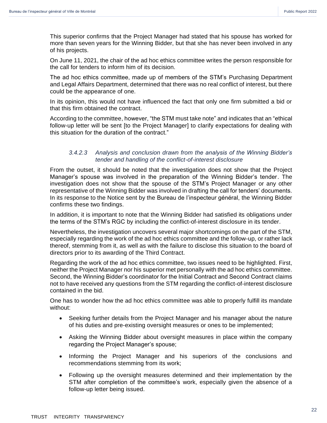This superior confirms that the Project Manager had stated that his spouse has worked for more than seven years for the Winning Bidder, but that she has never been involved in any of his projects.

On June 11, 2021, the chair of the ad hoc ethics committee writes the person responsible for the call for tenders to inform him of its decision.

The ad hoc ethics committee, made up of members of the STM's Purchasing Department and Legal Affairs Department, determined that there was no real conflict of interest, but there could be the appearance of one.

In its opinion, this would not have influenced the fact that only one firm submitted a bid or that this firm obtained the contract.

According to the committee, however, "the STM must take note" and indicates that an "ethical follow-up letter will be sent [to the Project Manager] to clarify expectations for dealing with this situation for the duration of the contract."

#### *3.4.2.3 Analysis and conclusion drawn from the analysis of the Winning Bidder's tender and handling of the conflict-of-interest disclosure*

From the outset, it should be noted that the investigation does not show that the Project Manager's spouse was involved in the preparation of the Winning Bidder's tender. The investigation does not show that the spouse of the STM's Project Manager or any other representative of the Winning Bidder was involved in drafting the call for tenders' documents. In its response to the Notice sent by the Bureau de l'inspecteur général, the Winning Bidder confirms these two findings.

In addition, it is important to note that the Winning Bidder had satisfied its obligations under the terms of the STM's RGC by including the conflict-of-interest disclosure in its tender.

Nevertheless, the investigation uncovers several major shortcomings on the part of the STM, especially regarding the work of the ad hoc ethics committee and the follow-up, or rather lack thereof, stemming from it, as well as with the failure to disclose this situation to the board of directors prior to its awarding of the Third Contract.

Regarding the work of the ad hoc ethics committee, two issues need to be highlighted. First, neither the Project Manager nor his superior met personally with the ad hoc ethics committee. Second, the Winning Bidder's coordinator for the Initial Contract and Second Contract claims not to have received any questions from the STM regarding the conflict-of-interest disclosure contained in the bid.

One has to wonder how the ad hoc ethics committee was able to properly fulfill its mandate without:

- Seeking further details from the Project Manager and his manager about the nature of his duties and pre-existing oversight measures or ones to be implemented;
- Asking the Winning Bidder about oversight measures in place within the company regarding the Project Manager's spouse;
- Informing the Project Manager and his superiors of the conclusions and recommendations stemming from its work;
- Following up the oversight measures determined and their implementation by the STM after completion of the committee's work, especially given the absence of a follow-up letter being issued.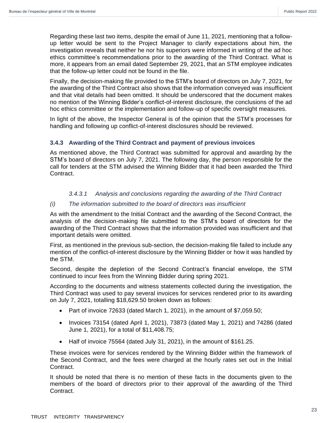Regarding these last two items, despite the email of June 11, 2021, mentioning that a followup letter would be sent to the Project Manager to clarify expectations about him, the investigation reveals that neither he nor his superiors were informed in writing of the ad hoc ethics committee's recommendations prior to the awarding of the Third Contract. What is more, it appears from an email dated September 29, 2021, that an STM employee indicates that the follow-up letter could not be found in the file.

Finally, the decision-making file provided to the STM's board of directors on July 7, 2021, for the awarding of the Third Contract also shows that the information conveyed was insufficient and that vital details had been omitted. It should be underscored that the document makes no mention of the Winning Bidder's conflict-of-interest disclosure, the conclusions of the ad hoc ethics committee or the implementation and follow-up of specific oversight measures.

In light of the above, the Inspector General is of the opinion that the STM's processes for handling and following up conflict-of-interest disclosures should be reviewed.

#### <span id="page-22-0"></span>**3.4.3 Awarding of the Third Contract and payment of previous invoices**

As mentioned above, the Third Contract was submitted for approval and awarding by the STM's board of directors on July 7, 2021. The following day, the person responsible for the call for tenders at the STM advised the Winning Bidder that it had been awarded the Third Contract.

#### *3.4.3.1 Analysis and conclusions regarding the awarding of the Third Contract*

#### *(i) The information submitted to the board of directors was insufficient*

As with the amendment to the Initial Contract and the awarding of the Second Contract, the analysis of the decision-making file submitted to the STM's board of directors for the awarding of the Third Contract shows that the information provided was insufficient and that important details were omitted.

First, as mentioned in the previous sub-section, the decision-making file failed to include any mention of the conflict-of-interest disclosure by the Winning Bidder or how it was handled by the STM.

Second, despite the depletion of the Second Contract's financial envelope, the STM continued to incur fees from the Winning Bidder during spring 2021.

According to the documents and witness statements collected during the investigation, the Third Contract was used to pay several invoices for services rendered prior to its awarding on July 7, 2021, totalling \$18,629.50 broken down as follows:

- Part of invoice 72633 (dated March 1, 2021), in the amount of \$7,059.50;
- Invoices 73154 (dated April 1, 2021), 73873 (dated May 1, 2021) and 74286 (dated June 1, 2021), for a total of \$11,408.75;
- Half of invoice 75564 (dated July 31, 2021), in the amount of \$161.25.

These invoices were for services rendered by the Winning Bidder within the framework of the Second Contract, and the fees were charged at the hourly rates set out in the Initial Contract.

It should be noted that there is no mention of these facts in the documents given to the members of the board of directors prior to their approval of the awarding of the Third Contract.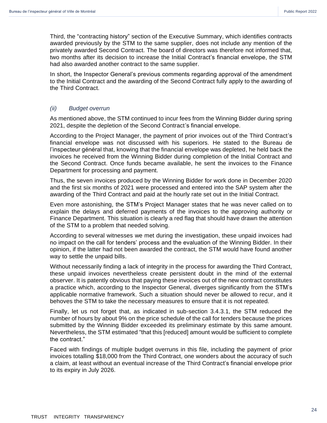Third, the "contracting history" section of the Executive Summary, which identifies contracts awarded previously by the STM to the same supplier, does not include any mention of the privately awarded Second Contract. The board of directors was therefore not informed that, two months after its decision to increase the Initial Contract's financial envelope, the STM had also awarded another contract to the same supplier.

In short, the Inspector General's previous comments regarding approval of the amendment to the Initial Contract and the awarding of the Second Contract fully apply to the awarding of the Third Contract.

#### *(ii) Budget overrun*

As mentioned above, the STM continued to incur fees from the Winning Bidder during spring 2021, despite the depletion of the Second Contract's financial envelope.

According to the Project Manager, the payment of prior invoices out of the Third Contract's financial envelope was not discussed with his superiors. He stated to the Bureau de l'inspecteur général that, knowing that the financial envelope was depleted, he held back the invoices he received from the Winning Bidder during completion of the Initial Contract and the Second Contract. Once funds became available, he sent the invoices to the Finance Department for processing and payment.

Thus, the seven invoices produced by the Winning Bidder for work done in December 2020 and the first six months of 2021 were processed and entered into the SAP system after the awarding of the Third Contract and paid at the hourly rate set out in the Initial Contract.

Even more astonishing, the STM's Project Manager states that he was never called on to explain the delays and deferred payments of the invoices to the approving authority or Finance Department. This situation is clearly a red flag that should have drawn the attention of the STM to a problem that needed solving.

According to several witnesses we met during the investigation, these unpaid invoices had no impact on the call for tenders' process and the evaluation of the Winning Bidder. In their opinion, if the latter had not been awarded the contract, the STM would have found another way to settle the unpaid bills.

Without necessarily finding a lack of integrity in the process for awarding the Third Contract, these unpaid invoices nevertheless create persistent doubt in the mind of the external observer. It is patently obvious that paying these invoices out of the new contract constitutes a practice which, according to the Inspector General, diverges significantly from the STM's applicable normative framework. Such a situation should never be allowed to recur, and it behoves the STM to take the necessary measures to ensure that it is not repeated.

Finally, let us not forget that, as indicated in sub-section 3.4.3.1, the STM reduced the number of hours by about 9% on the price schedule of the call for tenders because the prices submitted by the Winning Bidder exceeded its preliminary estimate by this same amount. Nevertheless, the STM estimated "that this [reduced] amount would be sufficient to complete the contract."

Faced with findings of multiple budget overruns in this file, including the payment of prior invoices totalling \$18,000 from the Third Contract, one wonders about the accuracy of such a claim, at least without an eventual increase of the Third Contract's financial envelope prior to its expiry in July 2026.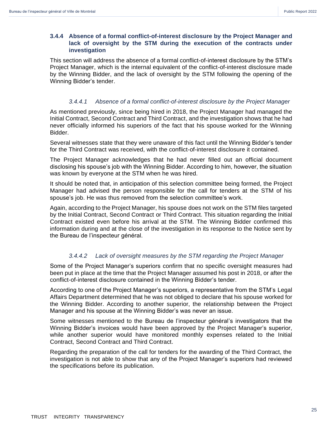#### <span id="page-24-0"></span>**3.4.4 Absence of a formal conflict-of-interest disclosure by the Project Manager and lack of oversight by the STM during the execution of the contracts under investigation**

This section will address the absence of a formal conflict-of-interest disclosure by the STM's Project Manager, which is the internal equivalent of the conflict-of-interest disclosure made by the Winning Bidder, and the lack of oversight by the STM following the opening of the Winning Bidder's tender.

#### *3.4.4.1 Absence of a formal conflict-of-interest disclosure by the Project Manager*

As mentioned previously, since being hired in 2018, the Project Manager had managed the Initial Contract, Second Contract and Third Contract, and the investigation shows that he had never officially informed his superiors of the fact that his spouse worked for the Winning Bidder.

Several witnesses state that they were unaware of this fact until the Winning Bidder's tender for the Third Contract was received, with the conflict-of-interest disclosure it contained.

The Project Manager acknowledges that he had never filled out an official document disclosing his spouse's job with the Winning Bidder. According to him, however, the situation was known by everyone at the STM when he was hired.

It should be noted that, in anticipation of this selection committee being formed, the Project Manager had advised the person responsible for the call for tenders at the STM of his spouse's job. He was thus removed from the selection committee's work.

Again, according to the Project Manager, his spouse does not work on the STM files targeted by the Initial Contract, Second Contract or Third Contract. This situation regarding the Initial Contract existed even before his arrival at the STM. The Winning Bidder confirmed this information during and at the close of the investigation in its response to the Notice sent by the Bureau de l'inspecteur général.

#### *3.4.4.2 Lack of oversight measures by the STM regarding the Project Manager*

Some of the Project Manager's superiors confirm that no specific oversight measures had been put in place at the time that the Project Manager assumed his post in 2018, or after the conflict-of-interest disclosure contained in the Winning Bidder's tender.

According to one of the Project Manager's superiors, a representative from the STM's Legal Affairs Department determined that he was not obliged to declare that his spouse worked for the Winning Bidder. According to another superior, the relationship between the Project Manager and his spouse at the Winning Bidder's was never an issue.

Some witnesses mentioned to the Bureau de l'inspecteur général's investigators that the Winning Bidder's invoices would have been approved by the Project Manager's superior, while another superior would have monitored monthly expenses related to the Initial Contract, Second Contract and Third Contract.

Regarding the preparation of the call for tenders for the awarding of the Third Contract, the investigation is not able to show that any of the Project Manager's superiors had reviewed the specifications before its publication.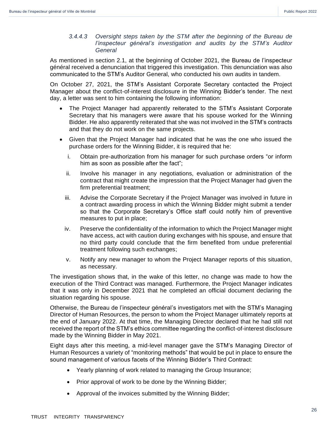#### *3.4.4.3 Oversight steps taken by the STM after the beginning of the Bureau de l'inspecteur général's investigation and audits by the STM's Auditor General*

As mentioned in section 2.1, at the beginning of October 2021, the Bureau de l'inspecteur général received a denunciation that triggered this investigation. This denunciation was also communicated to the STM's Auditor General, who conducted his own audits in tandem.

On October 27, 2021, the STM's Assistant Corporate Secretary contacted the Project Manager about the conflict-of-interest disclosure in the Winning Bidder's tender. The next day, a letter was sent to him containing the following information:

- The Project Manager had apparently reiterated to the STM's Assistant Corporate Secretary that his managers were aware that his spouse worked for the Winning Bidder. He also apparently reiterated that she was not involved in the STM's contracts and that they do not work on the same projects.
- Given that the Project Manager had indicated that he was the one who issued the purchase orders for the Winning Bidder, it is required that he:
	- i. Obtain pre-authorization from his manager for such purchase orders "or inform him as soon as possible after the fact";
	- ii. Involve his manager in any negotiations, evaluation or administration of the contract that might create the impression that the Project Manager had given the firm preferential treatment;
	- iii. Advise the Corporate Secretary if the Project Manager was involved in future in a contract awarding process in which the Winning Bidder might submit a tender so that the Corporate Secretary's Office staff could notify him of preventive measures to put in place;
	- iv. Preserve the confidentiality of the information to which the Project Manager might have access, act with caution during exchanges with his spouse, and ensure that no third party could conclude that the firm benefited from undue preferential treatment following such exchanges;
	- v. Notify any new manager to whom the Project Manager reports of this situation, as necessary.

The investigation shows that, in the wake of this letter, no change was made to how the execution of the Third Contract was managed. Furthermore, the Project Manager indicates that it was only in December 2021 that he completed an official document declaring the situation regarding his spouse.

Otherwise, the Bureau de l'inspecteur général's investigators met with the STM's Managing Director of Human Resources, the person to whom the Project Manager ultimately reports at the end of January 2022. At that time, the Managing Director declared that he had still not received the report of the STM's ethics committee regarding the conflict-of-interest disclosure made by the Winning Bidder in May 2021.

Eight days after this meeting, a mid-level manager gave the STM's Managing Director of Human Resources a variety of "monitoring methods" that would be put in place to ensure the sound management of various facets of the Winning Bidder's Third Contract:

- Yearly planning of work related to managing the Group Insurance;
- Prior approval of work to be done by the Winning Bidder;
- Approval of the invoices submitted by the Winning Bidder;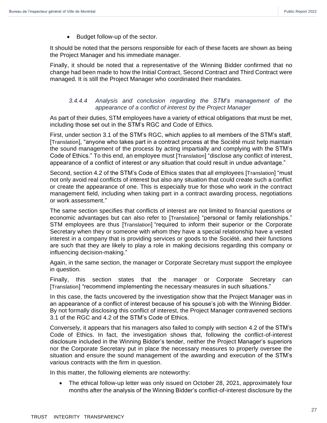• Budget follow-up of the sector.

It should be noted that the persons responsible for each of these facets are shown as being the Project Manager and his immediate manager.

Finally, it should be noted that a representative of the Winning Bidder confirmed that no change had been made to how the Initial Contract, Second Contract and Third Contract were managed. It is still the Project Manager who coordinated their mandates.

#### *3.4.4.4 Analysis and conclusion regarding the STM's management of the appearance of a conflict of interest by the Project Manager*

As part of their duties, STM employees have a variety of ethical obligations that must be met, including those set out in the STM's RGC and Code of Ethics.

First, under section 3.1 of the STM's RGC, which applies to all members of the STM's staff, [Translation], "anyone who takes part in a contract process at the Société must help maintain the sound management of the process by acting impartially and complying with the STM's Code of Ethics." To this end, an employee must [Translation] "disclose any conflict of interest, appearance of a conflict of interest or any situation that could result in undue advantage."

Second, section 4.2 of the STM's Code of Ethics states that all employees [Translation] "must not only avoid real conflicts of interest but also any situation that could create such a conflict or create the appearance of one. This is especially true for those who work in the contract management field, including when taking part in a contract awarding process, negotiations or work assessment."

The same section specifies that conflicts of interest are not limited to financial questions or economic advantages but can also refer to [Translation] "personal or family relationships." STM employees are thus [Translation] "required to inform their superior or the Corporate Secretary when they or someone with whom they have a special relationship have a vested interest in a company that is providing services or goods to the Société, and their functions are such that they are likely to play a role in making decisions regarding this company or influencing decision-making."

Again, in the same section, the manager or Corporate Secretary must support the employee in question.

Finally, this section states that the manager or Corporate Secretary can [Translation] "recommend implementing the necessary measures in such situations."

In this case, the facts uncovered by the investigation show that the Project Manager was in an appearance of a conflict of interest because of his spouse's job with the Winning Bidder. By not formally disclosing this conflict of interest, the Project Manager contravened sections 3.1 of the RGC and 4.2 of the STM's Code of Ethics.

Conversely, it appears that his managers also failed to comply with section 4.2 of the STM's Code of Ethics. In fact, the investigation shows that, following the conflict-of-interest disclosure included in the Winning Bidder's tender, neither the Project Manager's superiors nor the Corporate Secretary put in place the necessary measures to properly oversee the situation and ensure the sound management of the awarding and execution of the STM's various contracts with the firm in question.

In this matter, the following elements are noteworthy:

• The ethical follow-up letter was only issued on October 28, 2021, approximately four months after the analysis of the Winning Bidder's conflict-of-interest disclosure by the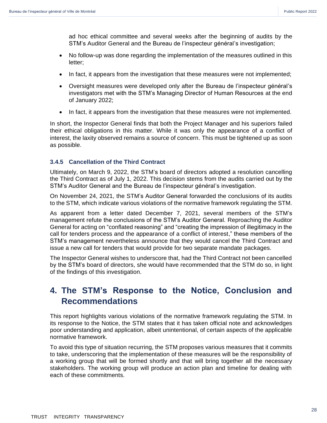ad hoc ethical committee and several weeks after the beginning of audits by the STM's Auditor General and the Bureau de l'inspecteur général's investigation;

- No follow-up was done regarding the implementation of the measures outlined in this letter;
- In fact, it appears from the investigation that these measures were not implemented;
- Oversight measures were developed only after the Bureau de l'inspecteur général's investigators met with the STM's Managing Director of Human Resources at the end of January 2022;
- In fact, it appears from the investigation that these measures were not implemented.

In short, the Inspector General finds that both the Project Manager and his superiors failed their ethical obligations in this matter. While it was only the appearance of a conflict of interest, the laxity observed remains a source of concern. This must be tightened up as soon as possible.

#### <span id="page-27-0"></span>**3.4.5 Cancellation of the Third Contract**

Ultimately, on March 9, 2022, the STM's board of directors adopted a resolution cancelling the Third Contract as of July 1, 2022. This decision stems from the audits carried out by the STM's Auditor General and the Bureau de l'inspecteur général's investigation.

On November 24, 2021, the STM's Auditor General forwarded the conclusions of its audits to the STM, which indicate various violations of the normative framework regulating the STM.

As apparent from a letter dated December 7, 2021, several members of the STM's management refute the conclusions of the STM's Auditor General. Reproaching the Auditor General for acting on "conflated reasoning" and "creating the impression of illegitimacy in the call for tenders process and the appearance of a conflict of interest," these members of the STM's management nevertheless announce that they would cancel the Third Contract and issue a new call for tenders that would provide for two separate mandate packages.

The Inspector General wishes to underscore that, had the Third Contract not been cancelled by the STM's board of directors, she would have recommended that the STM do so, in light of the findings of this investigation.

# <span id="page-27-1"></span>**4. The STM's Response to the Notice, Conclusion and Recommendations**

This report highlights various violations of the normative framework regulating the STM. In its response to the Notice, the STM states that it has taken official note and acknowledges poor understanding and application, albeit unintentional, of certain aspects of the applicable normative framework.

To avoid this type of situation recurring, the STM proposes various measures that it commits to take, underscoring that the implementation of these measures will be the responsibility of a working group that will be formed shortly and that will bring together all the necessary stakeholders. The working group will produce an action plan and timeline for dealing with each of these commitments.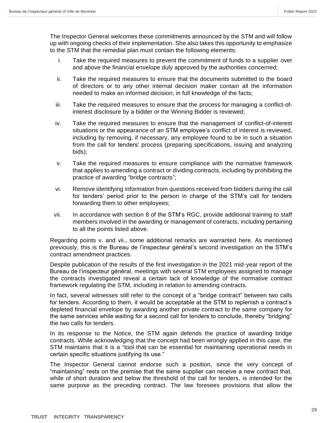The Inspector General welcomes these commitments announced by the STM and will follow up with ongoing checks of their implementation. She also takes this opportunity to emphasize to the STM that the remedial plan must contain the following elements:

- i. Take the required measures to prevent the commitment of funds to a supplier over and above the financial envelope duly approved by the authorities concerned;
- ii. Take the required measures to ensure that the documents submitted to the board of directors or to any other internal decision maker contain all the information needed to make an informed decision, in full knowledge of the facts;
- iii. Take the required measures to ensure that the process for managing a conflict-ofinterest disclosure by a bidder or the Winning Bidder is reviewed;
- iv. Take the required measures to ensure that the management of conflict-of-interest situations or the appearance of an STM employee's conflict of interest is reviewed, including by removing, if necessary, any employee found to be in such a situation from the call for tenders' process (preparing specifications, issuing and analyzing bids);
- v. Take the required measures to ensure compliance with the normative framework that applies to amending a contract or dividing contracts, including by prohibiting the practice of awarding "bridge contracts";
- vi. Remove identifying information from questions received from bidders during the call for tenders' period prior to the person in charge of the STM's call for tenders forwarding them to other employees;
- vii. In accordance with section 8 of the STM's RGC, provide additional training to staff members involved in the awarding or management of contracts, including pertaining to all the points listed above.

Regarding points v. and vii., some additional remarks are warranted here. As mentioned previously, this is the Bureau de l'inspecteur général's second investigation on the STM's contract amendment practices.

Despite publication of the results of the first investigation in the 2021 mid-year report of the Bureau de l'inspecteur général, meetings with several STM employees assigned to manage the contracts investigated reveal a certain lack of knowledge of the normative contract framework regulating the STM, including in relation to amending contracts.

In fact, several witnesses still refer to the concept of a "bridge contract" between two calls for tenders. According to them, it would be acceptable at the STM to replenish a contract's depleted financial envelope by awarding another private contract to the same company for the same services while waiting for a second call for tenders to conclude, thereby "bridging" the two calls for tenders.

In its response to the Notice, the STM again defends the practice of awarding bridge contracts. While acknowledging that the concept had been wrongly applied in this case, the STM maintains that it is a "tool that can be essential for maintaining operational needs in certain specific situations justifying its use."

The Inspector General cannot endorse such a position, since the very concept of "maintaining" rests on the premise that the same supplier can receive a new contract that, while of short duration and below the threshold of the call for tenders, is intended for the same purpose as the preceding contract. The law foresees provisions that allow the